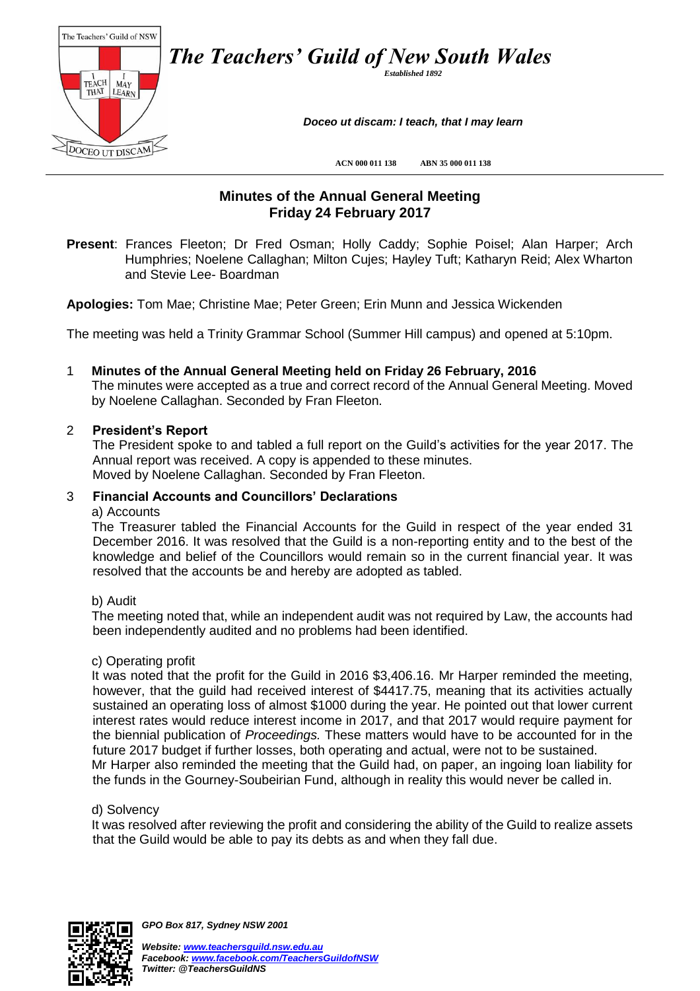

# **Minutes of the Annual General Meeting Friday 24 February 2017**

**Present**: Frances Fleeton; Dr Fred Osman; Holly Caddy; Sophie Poisel; Alan Harper; Arch Humphries; Noelene Callaghan; Milton Cujes; Hayley Tuft; Katharyn Reid; Alex Wharton and Stevie Lee- Boardman

**Apologies:** Tom Mae; Christine Mae; Peter Green; Erin Munn and Jessica Wickenden

The meeting was held a Trinity Grammar School (Summer Hill campus) and opened at 5:10pm.

1 **Minutes of the Annual General Meeting held on Friday 26 February, 2016**

The minutes were accepted as a true and correct record of the Annual General Meeting. Moved by Noelene Callaghan. Seconded by Fran Fleeton.

## 2 **President's Report**

The President spoke to and tabled a full report on the Guild's activities for the year 2017. The Annual report was received. A copy is appended to these minutes. Moved by Noelene Callaghan. Seconded by Fran Fleeton.

# 3 **Financial Accounts and Councillors' Declarations**

#### a) Accounts

The Treasurer tabled the Financial Accounts for the Guild in respect of the year ended 31 December 2016. It was resolved that the Guild is a non-reporting entity and to the best of the knowledge and belief of the Councillors would remain so in the current financial year. It was resolved that the accounts be and hereby are adopted as tabled.

#### b) Audit

The meeting noted that, while an independent audit was not required by Law, the accounts had been independently audited and no problems had been identified.

#### c) Operating profit

It was noted that the profit for the Guild in 2016 \$3,406.16. Mr Harper reminded the meeting, however, that the guild had received interest of \$4417.75, meaning that its activities actually sustained an operating loss of almost \$1000 during the year. He pointed out that lower current interest rates would reduce interest income in 2017, and that 2017 would require payment for the biennial publication of *Proceedings.* These matters would have to be accounted for in the future 2017 budget if further losses, both operating and actual, were not to be sustained. Mr Harper also reminded the meeting that the Guild had, on paper, an ingoing loan liability for the funds in the Gourney-Soubeirian Fund, although in reality this would never be called in.

#### d) Solvency

It was resolved after reviewing the profit and considering the ability of the Guild to realize assets that the Guild would be able to pay its debts as and when they fall due.



*GPO Box 817, Sydney NSW 2001*